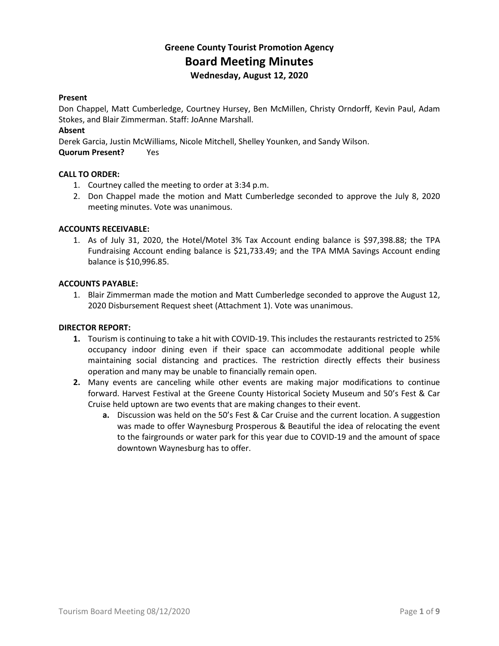# **Greene County Tourist Promotion Agency Board Meeting Minutes Wednesday, August 12, 2020**

# **Present**

Don Chappel, Matt Cumberledge, Courtney Hursey, Ben McMillen, Christy Orndorff, Kevin Paul, Adam Stokes, and Blair Zimmerman. Staff: JoAnne Marshall.

# **Absent**

Derek Garcia, Justin McWilliams, Nicole Mitchell, Shelley Younken, and Sandy Wilson.

**Quorum Present?** Yes

# **CALL TO ORDER:**

- 1. Courtney called the meeting to order at 3:34 p.m.
- 2. Don Chappel made the motion and Matt Cumberledge seconded to approve the July 8, 2020 meeting minutes. Vote was unanimous.

# **ACCOUNTS RECEIVABLE:**

1. As of July 31, 2020, the Hotel/Motel 3% Tax Account ending balance is \$97,398.88; the TPA Fundraising Account ending balance is \$21,733.49; and the TPA MMA Savings Account ending balance is \$10,996.85.

#### **ACCOUNTS PAYABLE:**

1. Blair Zimmerman made the motion and Matt Cumberledge seconded to approve the August 12, 2020 Disbursement Request sheet (Attachment 1). Vote was unanimous.

#### **DIRECTOR REPORT:**

- **1.** Tourism is continuing to take a hit with COVID-19. This includes the restaurants restricted to 25% occupancy indoor dining even if their space can accommodate additional people while maintaining social distancing and practices. The restriction directly effects their business operation and many may be unable to financially remain open.
- **2.** Many events are canceling while other events are making major modifications to continue forward. Harvest Festival at the Greene County Historical Society Museum and 50's Fest & Car Cruise held uptown are two events that are making changes to their event.
	- **a.** Discussion was held on the 50's Fest & Car Cruise and the current location. A suggestion was made to offer Waynesburg Prosperous & Beautiful the idea of relocating the event to the fairgrounds or water park for this year due to COVID-19 and the amount of space downtown Waynesburg has to offer.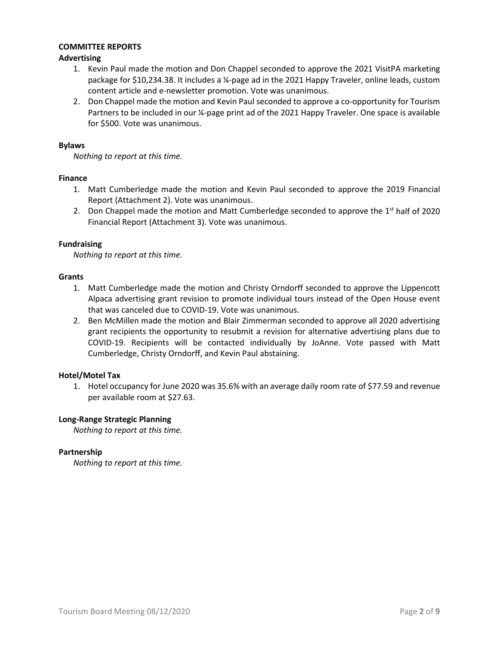# **COMMITTEE REPORTS**

# **Advertising**

- 1. Kevin Paul made the motion and Don Chappel seconded to approve the 2021 VisitPA marketing package for \$10,234.38. It includes a ¼-page ad in the 2021 Happy Traveler, online leads, custom content article and e-newsletter promotion. Vote was unanimous.
- 2. Don Chappel made the motion and Kevin Paul seconded to approve a co-opportunity for Tourism Partners to be included in our ¼-page print ad of the 2021 Happy Traveler. One space is available for \$500. Vote was unanimous.

# **Bylaws**

*Nothing to report at this time.*

# **Finance**

- 1. Matt Cumberledge made the motion and Kevin Paul seconded to approve the 2019 Financial Report (Attachment 2). Vote was unanimous.
- 2. Don Chappel made the motion and Matt Cumberledge seconded to approve the  $1<sup>st</sup>$  half of 2020 Financial Report (Attachment 3). Vote was unanimous.

# **Fundraising**

*Nothing to report at this time.*

# **Grants**

- 1. Matt Cumberledge made the motion and Christy Orndorff seconded to approve the Lippencott Alpaca advertising grant revision to promote individual tours instead of the Open House event that was canceled due to COVID-19. Vote was unanimous.
- 2. Ben McMillen made the motion and Blair Zimmerman seconded to approve all 2020 advertising grant recipients the opportunity to resubmit a revision for alternative advertising plans due to COVID-19. Recipients will be contacted individually by JoAnne. Vote passed with Matt Cumberledge, Christy Orndorff, and Kevin Paul abstaining.

# **Hotel/Motel Tax**

1. Hotel occupancy for June 2020 was 35.6% with an average daily room rate of \$77.59 and revenue per available room at \$27.63.

#### **Long-Range Strategic Planning**

*Nothing to report at this time.*

#### **Partnership**

*Nothing to report at this time.*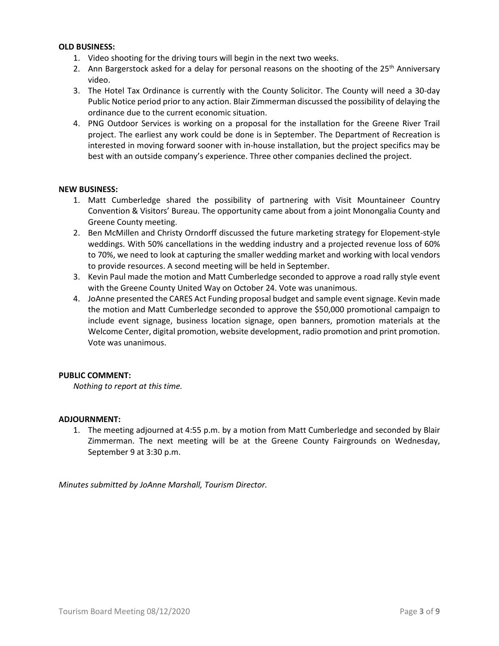#### **OLD BUSINESS:**

- 1. Video shooting for the driving tours will begin in the next two weeks.
- 2. Ann Bargerstock asked for a delay for personal reasons on the shooting of the  $25<sup>th</sup>$  Anniversary video.
- 3. The Hotel Tax Ordinance is currently with the County Solicitor. The County will need a 30-day Public Notice period prior to any action. Blair Zimmerman discussed the possibility of delaying the ordinance due to the current economic situation.
- 4. PNG Outdoor Services is working on a proposal for the installation for the Greene River Trail project. The earliest any work could be done is in September. The Department of Recreation is interested in moving forward sooner with in-house installation, but the project specifics may be best with an outside company's experience. Three other companies declined the project.

# **NEW BUSINESS:**

- 1. Matt Cumberledge shared the possibility of partnering with Visit Mountaineer Country Convention & Visitors' Bureau. The opportunity came about from a joint Monongalia County and Greene County meeting.
- 2. Ben McMillen and Christy Orndorff discussed the future marketing strategy for Elopement-style weddings. With 50% cancellations in the wedding industry and a projected revenue loss of 60% to 70%, we need to look at capturing the smaller wedding market and working with local vendors to provide resources. A second meeting will be held in September.
- 3. Kevin Paul made the motion and Matt Cumberledge seconded to approve a road rally style event with the Greene County United Way on October 24. Vote was unanimous.
- 4. JoAnne presented the CARES Act Funding proposal budget and sample event signage. Kevin made the motion and Matt Cumberledge seconded to approve the \$50,000 promotional campaign to include event signage, business location signage, open banners, promotion materials at the Welcome Center, digital promotion, website development, radio promotion and print promotion. Vote was unanimous.

#### **PUBLIC COMMENT:**

*Nothing to report at this time.*

#### **ADJOURNMENT:**

1. The meeting adjourned at 4:55 p.m. by a motion from Matt Cumberledge and seconded by Blair Zimmerman. The next meeting will be at the Greene County Fairgrounds on Wednesday, September 9 at 3:30 p.m.

*Minutes submitted by JoAnne Marshall, Tourism Director.*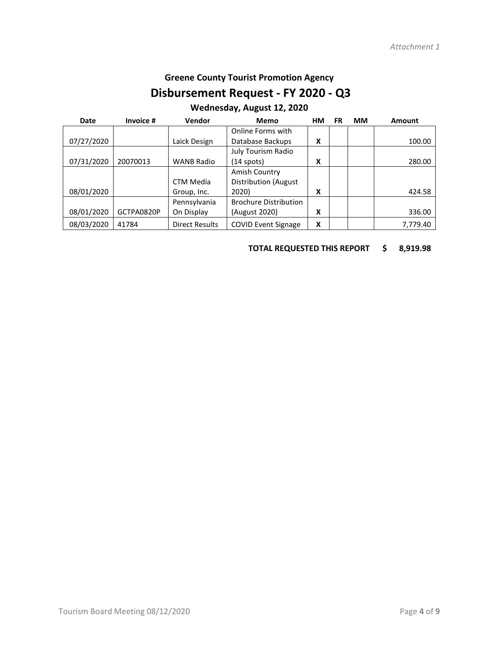# **Greene County Tourist Promotion Agency**

# **Disbursement Request - FY 2020 - Q3**

# **Wednesday, August 12, 2020**

| Date       | Invoice #  | Vendor                | Memo                         | HМ | FR | <b>MM</b> | <b>Amount</b> |
|------------|------------|-----------------------|------------------------------|----|----|-----------|---------------|
|            |            |                       | Online Forms with            |    |    |           |               |
| 07/27/2020 |            | Laick Design          | Database Backups             | χ  |    |           | 100.00        |
|            |            |                       | July Tourism Radio           |    |    |           |               |
| 07/31/2020 | 20070013   | <b>WANB Radio</b>     | $(14$ spots)                 | χ  |    |           | 280.00        |
|            |            |                       | Amish Country                |    |    |           |               |
|            |            | <b>CTM Media</b>      | <b>Distribution (August</b>  |    |    |           |               |
| 08/01/2020 |            | Group, Inc.           | 2020)                        | χ  |    |           | 424.58        |
|            |            | Pennsylvania          | <b>Brochure Distribution</b> |    |    |           |               |
| 08/01/2020 | GCTPA0820P | On Display            | (August 2020)                | χ  |    |           | 336.00        |
| 08/03/2020 | 41784      | <b>Direct Results</b> | <b>COVID Event Signage</b>   | x  |    |           | 7,779.40      |

# **TOTAL REQUESTED THIS REPORT \$ 8,919.98**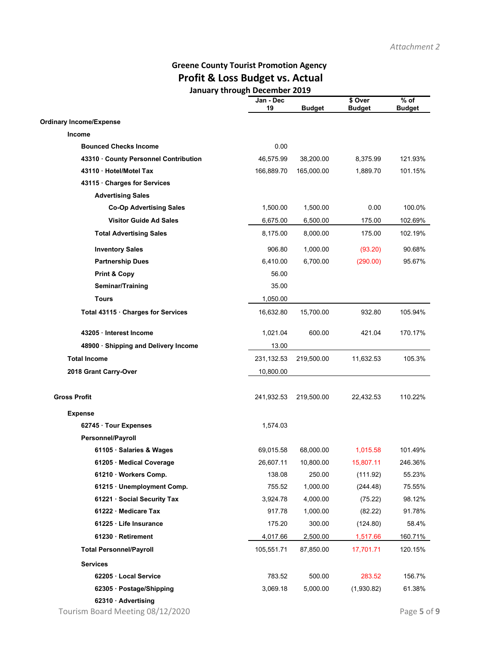# **Greene County Tourist Promotion Agency Profit & Loss Budget vs. Actual January through December 2019**

|                                      | Jan - Dec<br>19 | <b>Budget</b> | \$ Over<br><b>Budget</b> | $%$ of<br><b>Budget</b> |
|--------------------------------------|-----------------|---------------|--------------------------|-------------------------|
| <b>Ordinary Income/Expense</b>       |                 |               |                          |                         |
| <b>Income</b>                        |                 |               |                          |                         |
| <b>Bounced Checks Income</b>         | 0.00            |               |                          |                         |
| 43310 County Personnel Contribution  | 46,575.99       | 38,200.00     | 8,375.99                 | 121.93%                 |
| 43110 Hotel/Motel Tax                | 166,889.70      | 165,000.00    | 1,889.70                 | 101.15%                 |
| 43115 Charges for Services           |                 |               |                          |                         |
| <b>Advertising Sales</b>             |                 |               |                          |                         |
| <b>Co-Op Advertising Sales</b>       | 1,500.00        | 1,500.00      | 0.00                     | 100.0%                  |
| <b>Visitor Guide Ad Sales</b>        | 6,675.00        | 6,500.00      | 175.00                   | 102.69%                 |
| <b>Total Advertising Sales</b>       | 8,175.00        | 8,000.00      | 175.00                   | 102.19%                 |
| <b>Inventory Sales</b>               | 906.80          | 1,000.00      | (93.20)                  | 90.68%                  |
| <b>Partnership Dues</b>              | 6,410.00        | 6,700.00      | (290.00)                 | 95.67%                  |
| <b>Print &amp; Copy</b>              | 56.00           |               |                          |                         |
| Seminar/Training                     | 35.00           |               |                          |                         |
| <b>Tours</b>                         | 1,050.00        |               |                          |                         |
| Total 43115 · Charges for Services   | 16,632.80       | 15,700.00     | 932.80                   | 105.94%                 |
| 43205 · Interest Income              | 1,021.04        | 600.00        | 421.04                   | 170.17%                 |
| 48900 · Shipping and Delivery Income | 13.00           |               |                          |                         |
| <b>Total Income</b>                  | 231, 132.53     | 219,500.00    | 11,632.53                | 105.3%                  |
| 2018 Grant Carry-Over                | 10,800.00       |               |                          |                         |
| <b>Gross Profit</b>                  | 241,932.53      | 219,500.00    | 22,432.53                | 110.22%                 |
| <b>Expense</b>                       |                 |               |                          |                         |
| 62745 Tour Expenses                  | 1,574.03        |               |                          |                         |
| Personnel/Payroll                    |                 |               |                          |                         |
| 61105 · Salaries & Wages             | 69,015.58       | 68,000.00     | 1,015.58                 | 101.49%                 |
| 61205 · Medical Coverage             | 26,607.11       | 10,800.00     | 15,807.11                | 246.36%                 |
| 61210 · Workers Comp.                | 138.08          | 250.00        | (111.92)                 | 55.23%                  |
| 61215 · Unemployment Comp.           | 755.52          | 1,000.00      | (244.48)                 | 75.55%                  |
| 61221 · Social Security Tax          | 3,924.78        | 4,000.00      | (75.22)                  | 98.12%                  |
| 61222 · Medicare Tax                 | 917.78          | 1,000.00      | (82.22)                  | 91.78%                  |
| 61225 · Life Insurance               | 175.20          | 300.00        | (124.80)                 | 58.4%                   |
| 61230 · Retirement                   | 4,017.66        | 2,500.00      | 1,517.66                 | 160.71%                 |
| <b>Total Personnel/Payroll</b>       | 105,551.71      | 87,850.00     | 17,701.71                | 120.15%                 |
| <b>Services</b>                      |                 |               |                          |                         |
| 62205 · Local Service                | 783.52          | 500.00        | 283.52                   | 156.7%                  |
| 62305 · Postage/Shipping             | 3,069.18        | 5,000.00      | (1,930.82)               | 61.38%                  |
| 62310 · Advertising                  |                 |               |                          |                         |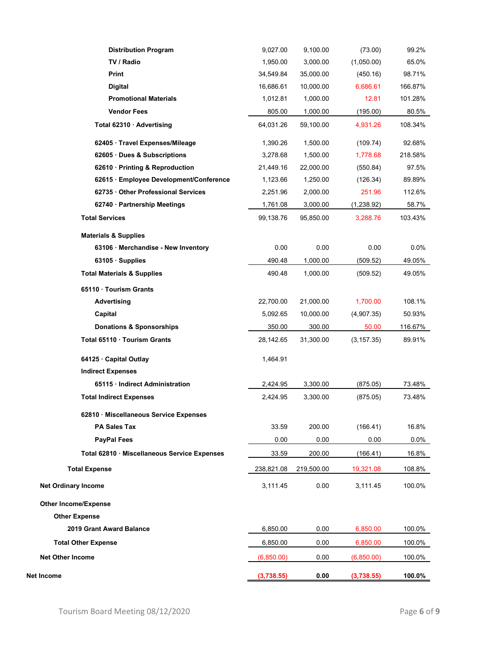| <b>Distribution Program</b>                  | 9,027.00   | 9,100.00   | (73.00)     | 99.2%   |
|----------------------------------------------|------------|------------|-------------|---------|
| TV / Radio                                   | 1,950.00   | 3,000.00   | (1,050.00)  | 65.0%   |
| Print                                        | 34,549.84  | 35,000.00  | (450.16)    | 98.71%  |
| Digital                                      | 16,686.61  | 10,000.00  | 6,686.61    | 166.87% |
| <b>Promotional Materials</b>                 | 1,012.81   | 1,000.00   | 12.81       | 101.28% |
| <b>Vendor Fees</b>                           | 805.00     | 1,000.00   | (195.00)    | 80.5%   |
| Total 62310 · Advertising                    | 64,031.26  | 59,100.00  | 4,931.26    | 108.34% |
| 62405 · Travel Expenses/Mileage              | 1,390.26   | 1,500.00   | (109.74)    | 92.68%  |
| 62605 · Dues & Subscriptions                 | 3,278.68   | 1,500.00   | 1,778.68    | 218.58% |
| 62610 · Printing & Reproduction              | 21,449.16  | 22,000.00  | (550.84)    | 97.5%   |
| 62615 · Employee Development/Conference      | 1,123.66   | 1,250.00   | (126.34)    | 89.89%  |
| 62735 Other Professional Services            | 2,251.96   | 2,000.00   | 251.96      | 112.6%  |
| 62740 · Partnership Meetings                 | 1,761.08   | 3,000.00   | (1,238.92)  | 58.7%   |
| <b>Total Services</b>                        | 99,138.76  | 95,850.00  | 3,288.76    | 103.43% |
| <b>Materials &amp; Supplies</b>              |            |            |             |         |
| 63106 · Merchandise - New Inventory          | 0.00       | 0.00       | 0.00        | 0.0%    |
| 63105 · Supplies                             | 490.48     | 1,000.00   | (509.52)    | 49.05%  |
| <b>Total Materials &amp; Supplies</b>        | 490.48     | 1,000.00   | (509.52)    | 49.05%  |
| 65110 · Tourism Grants                       |            |            |             |         |
| Advertising                                  | 22,700.00  | 21,000.00  | 1,700.00    | 108.1%  |
| Capital                                      | 5,092.65   | 10,000.00  | (4,907.35)  | 50.93%  |
| <b>Donations &amp; Sponsorships</b>          | 350.00     | 300.00     | 50.00       | 116.67% |
| Total 65110 · Tourism Grants                 | 28,142.65  | 31,300.00  | (3, 157.35) | 89.91%  |
| 64125 · Capital Outlay                       | 1,464.91   |            |             |         |
| <b>Indirect Expenses</b>                     |            |            |             |         |
| 65115 · Indirect Administration              | 2,424.95   | 3,300.00   | (875.05)    | 73.48%  |
| <b>Total Indirect Expenses</b>               | 2,424.95   | 3,300.00   | (875.05)    | 73.48%  |
| 62810 · Miscellaneous Service Expenses       |            |            |             |         |
| <b>PA Sales Tax</b>                          | 33.59      | 200.00     | (166.41)    | 16.8%   |
| <b>PayPal Fees</b>                           | 0.00       | 0.00       | 0.00        | $0.0\%$ |
| Total 62810 · Miscellaneous Service Expenses | 33.59      | 200.00     | (166.41)    | 16.8%   |
| <b>Total Expense</b>                         | 238,821.08 | 219,500.00 | 19,321.08   | 108.8%  |
| <b>Net Ordinary Income</b>                   | 3,111.45   | 0.00       | 3,111.45    | 100.0%  |
| <b>Other Income/Expense</b>                  |            |            |             |         |
| <b>Other Expense</b>                         |            |            |             |         |
| <b>2019 Grant Award Balance</b>              | 6,850.00   | 0.00       | 6,850.00    | 100.0%  |
| <b>Total Other Expense</b>                   | 6,850.00   | 0.00       | 6,850.00    | 100.0%  |
| <b>Net Other Income</b>                      | (6,850.00) | 0.00       | (6,850.00)  | 100.0%  |
| Net Income                                   | (3,738.55) | 0.00       | (3,738.55)  | 100.0%  |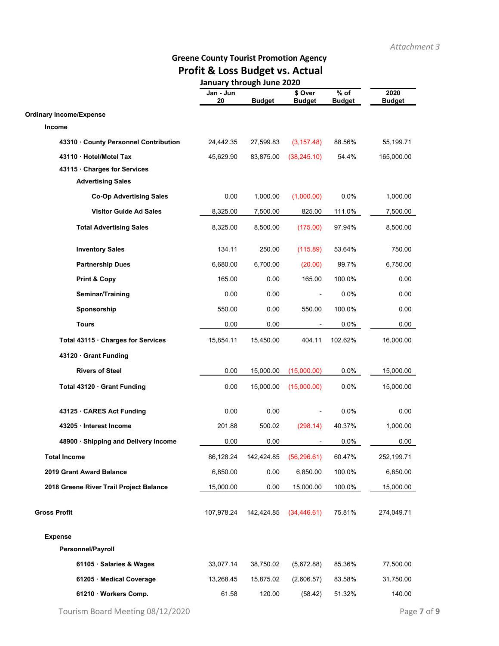# **Greene County Tourist Promotion Agency Profit & Loss Budget vs. Actual**

|                                         | January through June 2020 |               |                          |                         |                       |
|-----------------------------------------|---------------------------|---------------|--------------------------|-------------------------|-----------------------|
|                                         | Jan - Jun<br>${\bf 20}$   | <b>Budget</b> | \$ Over<br><b>Budget</b> | $%$ of<br><b>Budget</b> | 2020<br><b>Budget</b> |
| <b>Ordinary Income/Expense</b>          |                           |               |                          |                         |                       |
| Income                                  |                           |               |                          |                         |                       |
| 43310 County Personnel Contribution     | 24,442.35                 | 27,599.83     | (3, 157.48)              | 88.56%                  | 55,199.71             |
| 43110 · Hotel/Motel Tax                 | 45,629.90                 | 83,875.00     | (38, 245.10)             | 54.4%                   | 165,000.00            |
| 43115 Charges for Services              |                           |               |                          |                         |                       |
| <b>Advertising Sales</b>                |                           |               |                          |                         |                       |
| <b>Co-Op Advertising Sales</b>          | 0.00                      | 1,000.00      | (1,000.00)               | 0.0%                    | 1,000.00              |
| <b>Visitor Guide Ad Sales</b>           | 8,325.00                  | 7,500.00      | 825.00                   | 111.0%                  | 7,500.00              |
| <b>Total Advertising Sales</b>          | 8,325.00                  | 8,500.00      | (175.00)                 | 97.94%                  | 8,500.00              |
| <b>Inventory Sales</b>                  | 134.11                    | 250.00        | (115.89)                 | 53.64%                  | 750.00                |
| <b>Partnership Dues</b>                 | 6,680.00                  | 6,700.00      | (20.00)                  | 99.7%                   | 6,750.00              |
| <b>Print &amp; Copy</b>                 | 165.00                    | 0.00          | 165.00                   | 100.0%                  | 0.00                  |
| Seminar/Training                        | 0.00                      | 0.00          |                          | 0.0%                    | 0.00                  |
| Sponsorship                             | 550.00                    | 0.00          | 550.00                   | 100.0%                  | 0.00                  |
| <b>Tours</b>                            | 0.00                      | 0.00          |                          | $0.0\%$                 | 0.00                  |
| Total 43115 · Charges for Services      | 15,854.11                 | 15,450.00     | 404.11                   | 102.62%                 | 16,000.00             |
| 43120 Grant Funding                     |                           |               |                          |                         |                       |
| <b>Rivers of Steel</b>                  | 0.00                      | 15,000.00     | (15,000.00)              | 0.0%                    | 15,000.00             |
| Total 43120 · Grant Funding             | 0.00                      | 15,000.00     | (15,000.00)              | $0.0\%$                 | 15,000.00             |
| 43125 CARES Act Funding                 | 0.00                      | 0.00          |                          | 0.0%                    | 0.00                  |
| 43205 · Interest Income                 | 201.88                    | 500.02        | (298.14)                 | 40.37%                  | 1,000.00              |
| 48900 · Shipping and Delivery Income    | 0.00                      | 0.00          |                          | 0.0%                    | 0.00                  |
| <b>Total Income</b>                     | 86,128.24                 | 142,424.85    | (56, 296.61)             | 60.47%                  | 252,199.71            |
| <b>2019 Grant Award Balance</b>         | 6,850.00                  | 0.00          | 6,850.00                 | 100.0%                  | 6,850.00              |
| 2018 Greene River Trail Project Balance | 15,000.00                 | 0.00          | 15,000.00                | 100.0%                  | 15,000.00             |
| <b>Gross Profit</b>                     | 107,978.24                | 142,424.85    | (34, 446.61)             | 75.81%                  | 274,049.71            |
| <b>Expense</b>                          |                           |               |                          |                         |                       |
| Personnel/Payroll                       |                           |               |                          |                         |                       |
| 61105 · Salaries & Wages                | 33,077.14                 | 38,750.02     | (5,672.88)               | 85.36%                  | 77,500.00             |
| 61205 · Medical Coverage                | 13,268.45                 | 15,875.02     | (2,606.57)               | 83.58%                  | 31,750.00             |
| 61210 · Workers Comp.                   | 61.58                     | 120.00        | (58.42)                  | 51.32%                  | 140.00                |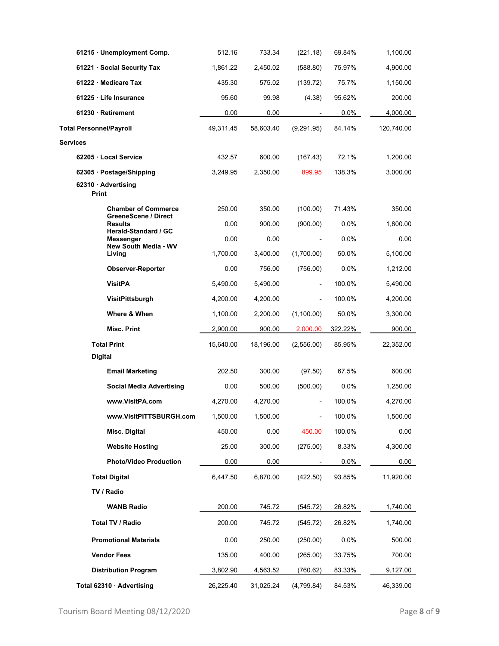| 61215 · Unemployment Comp.                         | 512.16    | 733.34    | (221.18)                     | 69.84%  | 1,100.00   |
|----------------------------------------------------|-----------|-----------|------------------------------|---------|------------|
| 61221 Social Security Tax                          | 1,861.22  | 2,450.02  | (588.80)                     | 75.97%  | 4,900.00   |
| 61222 · Medicare Tax                               | 435.30    | 575.02    | (139.72)                     | 75.7%   | 1,150.00   |
| 61225 Life Insurance                               | 95.60     | 99.98     | (4.38)                       | 95.62%  | 200.00     |
| 61230 Retirement                                   | 0.00      | 0.00      | $\overline{\phantom{a}}$     | $0.0\%$ | 4,000.00   |
| <b>Total Personnel/Payroll</b>                     | 49,311.45 | 58,603.40 | (9,291.95)                   | 84.14%  | 120,740.00 |
| Services                                           |           |           |                              |         |            |
| 62205 Local Service                                | 432.57    | 600.00    | (167.43)                     | 72.1%   | 1,200.00   |
| 62305 · Postage/Shipping                           | 3,249.95  | 2,350.00  | 899.95                       | 138.3%  | 3,000.00   |
| 62310 · Advertising<br>Print                       |           |           |                              |         |            |
|                                                    |           |           |                              | 71.43%  |            |
| <b>Chamber of Commerce</b><br>GreeneScene / Direct | 250.00    | 350.00    | (100.00)                     |         | 350.00     |
| <b>Results</b><br>Herald-Standard / GC             | 0.00      | 900.00    | (900.00)                     | 0.0%    | 1,800.00   |
| Messenger<br>New South Media - WV                  | 0.00      | 0.00      |                              | 0.0%    | 0.00       |
| Living                                             | 1,700.00  | 3,400.00  | (1,700.00)                   | 50.0%   | 5,100.00   |
| <b>Observer-Reporter</b>                           | 0.00      | 756.00    | (756.00)                     | 0.0%    | 1,212.00   |
| <b>VisitPA</b>                                     | 5,490.00  | 5,490.00  | $\overline{\phantom{a}}$     | 100.0%  | 5,490.00   |
| VisitPittsburgh                                    | 4,200.00  | 4,200.00  | $\overline{\phantom{a}}$     | 100.0%  | 4,200.00   |
| Where & When                                       | 1,100.00  | 2,200.00  | (1,100.00)                   | 50.0%   | 3,300.00   |
| <b>Misc. Print</b>                                 | 2,900.00  | 900.00    | 2,000.00                     | 322.22% | 900.00     |
| <b>Total Print</b>                                 | 15,640.00 | 18,196.00 | (2,556.00)                   | 85.95%  | 22,352.00  |
| <b>Digital</b>                                     |           |           |                              |         |            |
| <b>Email Marketing</b>                             | 202.50    | 300.00    | (97.50)                      | 67.5%   | 600.00     |
| <b>Social Media Advertising</b>                    | 0.00      | 500.00    | (500.00)                     | 0.0%    | 1,250.00   |
| www.VisitPA.com                                    | 4,270.00  | 4,270.00  | $\overline{\phantom{a}}$     | 100.0%  | 4,270.00   |
| www.VisitPITTSBURGH.com                            | 1,500.00  | 1,500.00  | $\qquad \qquad \blacksquare$ | 100.0%  | 1,500.00   |
| Misc. Digital                                      | 450.00    | 0.00      | 450.00                       | 100.0%  | 0.00       |
| <b>Website Hosting</b>                             | 25.00     | 300.00    | (275.00)                     | 8.33%   | 4,300.00   |
| <b>Photo/Video Production</b>                      | 0.00      | 0.00      |                              | $0.0\%$ | 0.00       |
| <b>Total Digital</b>                               | 6,447.50  | 6,870.00  | (422.50)                     | 93.85%  | 11,920.00  |
| TV / Radio                                         |           |           |                              |         |            |
| <b>WANB Radio</b>                                  | 200.00    | 745.72    | (545.72)                     | 26.82%  | 1,740.00   |
| Total TV / Radio                                   | 200.00    | 745.72    | (545.72)                     | 26.82%  | 1,740.00   |
| <b>Promotional Materials</b>                       | 0.00      | 250.00    | (250.00)                     | 0.0%    | 500.00     |
| <b>Vendor Fees</b>                                 | 135.00    | 400.00    | (265.00)                     | 33.75%  | 700.00     |
| <b>Distribution Program</b>                        | 3,802.90  | 4,563.52  | (760.62)                     | 83.33%  | 9,127.00   |
| Total 62310 · Advertising                          | 26,225.40 | 31,025.24 | (4,799.84)                   | 84.53%  | 46,339.00  |